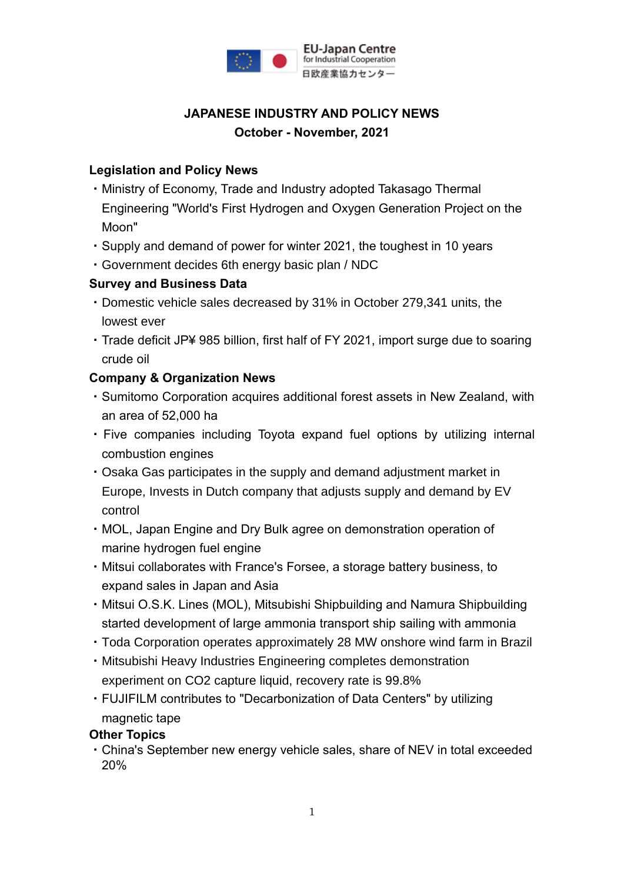

## **JAPANESE INDUSTRY AND POLICY NEWS October - November, 2021**

### **Legislation and Policy News**

- ・Ministry of Economy, Trade and Industry adopted Takasago Thermal Engineering "World's First Hydrogen and Oxygen Generation Project on the Moon"
- ・Supply and demand of power for winter 2021, the toughest in 10 years
- ・Government decides 6th energy basic plan / NDC

### **Survey and Business Data**

- ・Domestic vehicle sales decreased by 31% in October 279,341 units, the lowest ever
- ・Trade deficit JP¥ 985 billion, first half of FY 2021, import surge due to soaring crude oil

### **Company & Organization News**

- ・Sumitomo Corporation acquires additional forest assets in New Zealand, with an area of 52,000 ha
- ・Five companies including Toyota expand fuel options by utilizing internal combustion engines
- ・Osaka Gas participates in the supply and demand adjustment market in Europe, Invests in Dutch company that adjusts supply and demand by EV control
- ・MOL, Japan Engine and Dry Bulk agree on demonstration operation of marine hydrogen fuel engine
- ・Mitsui collaborates with France's Forsee, a storage battery business, to expand sales in Japan and Asia
- ・Mitsui O.S.K. Lines (MOL), Mitsubishi Shipbuilding and Namura Shipbuilding started development of large ammonia transport ship sailing with ammonia
- ・Toda Corporation operates approximately 28 MW onshore wind farm in Brazil
- ・Mitsubishi Heavy Industries Engineering completes demonstration experiment on CO2 capture liquid, recovery rate is 99.8%
- ・FUJIFILM contributes to "Decarbonization of Data Centers" by utilizing magnetic tape

#### **Other Topics**

・China's September new energy vehicle sales, share of NEV in total exceeded 20%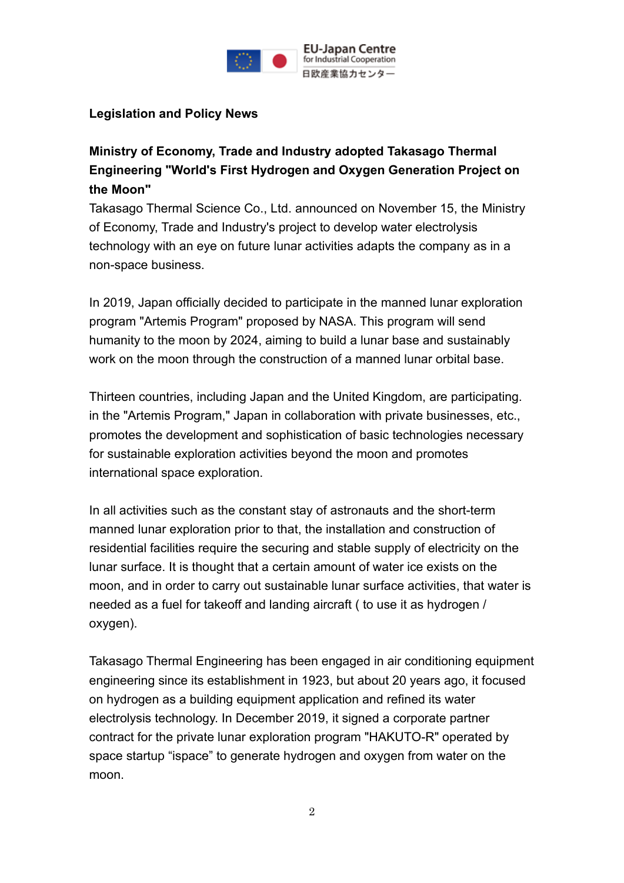

### **Legislation and Policy News**

**Ministry of Economy, Trade and Industry adopted Takasago Thermal Engineering "World's First Hydrogen and Oxygen Generation Project on the Moon"**

Takasago Thermal Science Co., Ltd. announced on November 15, the Ministry of Economy, Trade and Industry's project to develop water electrolysis technology with an eye on future lunar activities adapts the company as in a non-space business.

In 2019, Japan officially decided to participate in the manned lunar exploration program "Artemis Program" proposed by NASA. This program will send humanity to the moon by 2024, aiming to build a lunar base and sustainably work on the moon through the construction of a manned lunar orbital base.

Thirteen countries, including Japan and the United Kingdom, are participating. in the "Artemis Program," Japan in collaboration with private businesses, etc., promotes the development and sophistication of basic technologies necessary for sustainable exploration activities beyond the moon and promotes international space exploration.

In all activities such as the constant stay of astronauts and the short-term manned lunar exploration prior to that, the installation and construction of residential facilities require the securing and stable supply of electricity on the lunar surface. It is thought that a certain amount of water ice exists on the moon, and in order to carry out sustainable lunar surface activities, that water is needed as a fuel for takeoff and landing aircraft ( to use it as hydrogen / oxygen).

Takasago Thermal Engineering has been engaged in air conditioning equipment engineering since its establishment in 1923, but about 20 years ago, it focused on hydrogen as a building equipment application and refined its water electrolysis technology. In December 2019, it signed a corporate partner contract for the private lunar exploration program "HAKUTO-R" operated by space startup "ispace" to generate hydrogen and oxygen from water on the moon.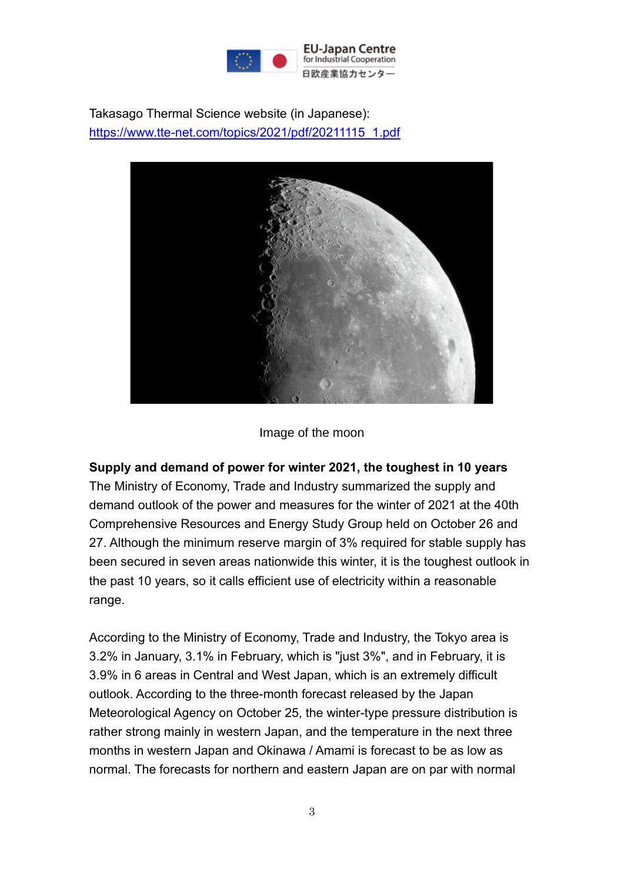

Takasago Thermal Science website (in Japanese): [https://www.tte-net.com/topics/2021/pdf/20211115\\_1.pdf](https://www.tte-net.com/topics/2021/pdf/20211115_1.pdf)



#### Image of the moon

#### **Supply and demand of power for winter 2021, the toughest in 10 years**

The Ministry of Economy, Trade and Industry summarized the supply and demand outlook of the power and measures for the winter of 2021 at the 40th Comprehensive Resources and Energy Study Group held on October 26 and 27. Although the minimum reserve margin of 3% required for stable supply has been secured in seven areas nationwide this winter, it is the toughest outlook in the past 10 years, so it calls efficient use of electricity within a reasonable range.

According to the Ministry of Economy, Trade and Industry, the Tokyo area is 3.2% in January, 3.1% in February, which is "just 3%", and in February, it is 3.9% in 6 areas in Central and West Japan, which is an extremely difficult outlook. According to the three-month forecast released by the Japan Meteorological Agency on October 25, the winter-type pressure distribution is rather strong mainly in western Japan, and the temperature in the next three months in western Japan and Okinawa / Amami is forecast to be as low as normal. The forecasts for northern and eastern Japan are on par with normal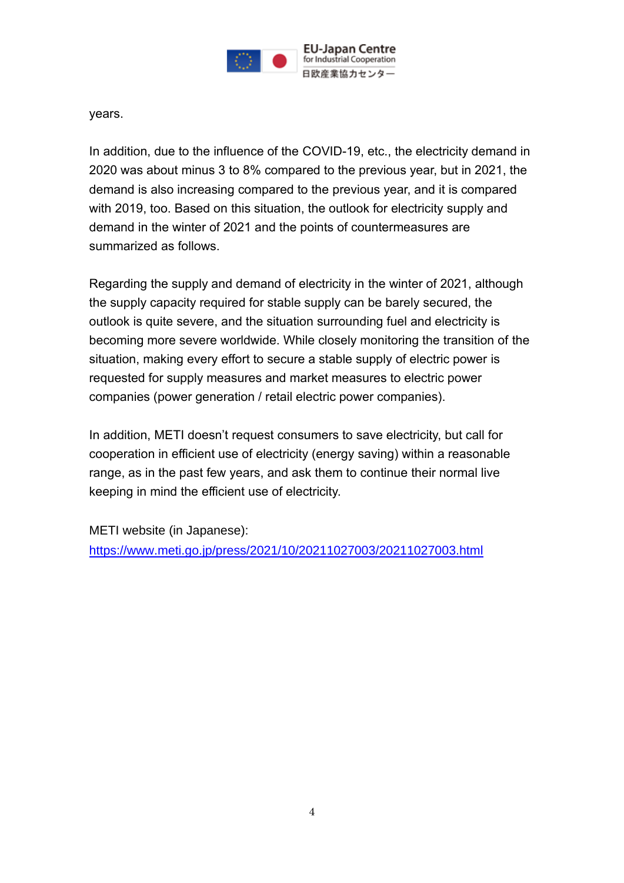

years.

In addition, due to the influence of the COVID-19, etc., the electricity demand in 2020 was about minus 3 to 8% compared to the previous year, but in 2021, the demand is also increasing compared to the previous year, and it is compared with 2019, too. Based on this situation, the outlook for electricity supply and demand in the winter of 2021 and the points of countermeasures are summarized as follows.

Regarding the supply and demand of electricity in the winter of 2021, although the supply capacity required for stable supply can be barely secured, the outlook is quite severe, and the situation surrounding fuel and electricity is becoming more severe worldwide. While closely monitoring the transition of the situation, making every effort to secure a stable supply of electric power is requested for supply measures and market measures to electric power companies (power generation / retail electric power companies).

In addition, METI doesn't request consumers to save electricity, but call for cooperation in efficient use of electricity (energy saving) within a reasonable range, as in the past few years, and ask them to continue their normal live keeping in mind the efficient use of electricity.

METI website (in Japanese): <https://www.meti.go.jp/press/2021/10/20211027003/20211027003.html>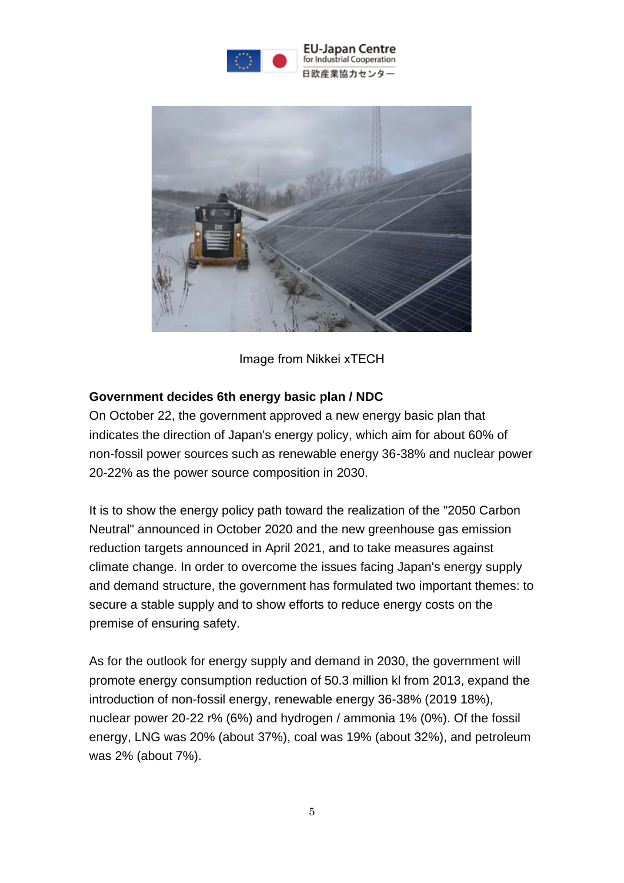

**EU-Japan Centre** for Industrial Cooperation 日欧産業協力センター



Image from Nikkei xTECH

### **Government decides 6th energy basic plan / NDC**

On October 22, the government approved a new energy basic plan that indicates the direction of Japan's energy policy, which aim for about 60% of non-fossil power sources such as renewable energy 36-38% and nuclear power 20-22% as the power source composition in 2030.

It is to show the energy policy path toward the realization of the "2050 Carbon Neutral" announced in October 2020 and the new greenhouse gas emission reduction targets announced in April 2021, and to take measures against climate change. In order to overcome the issues facing Japan's energy supply and demand structure, the government has formulated two important themes: to secure a stable supply and to show efforts to reduce energy costs on the premise of ensuring safety.

As for the outlook for energy supply and demand in 2030, the government will promote energy consumption reduction of 50.3 million kl from 2013, expand the introduction of non-fossil energy, renewable energy 36-38% (2019 18%), nuclear power 20-22 r% (6%) and hydrogen / ammonia 1% (0%). Of the fossil energy, LNG was 20% (about 37%), coal was 19% (about 32%), and petroleum was 2% (about 7%).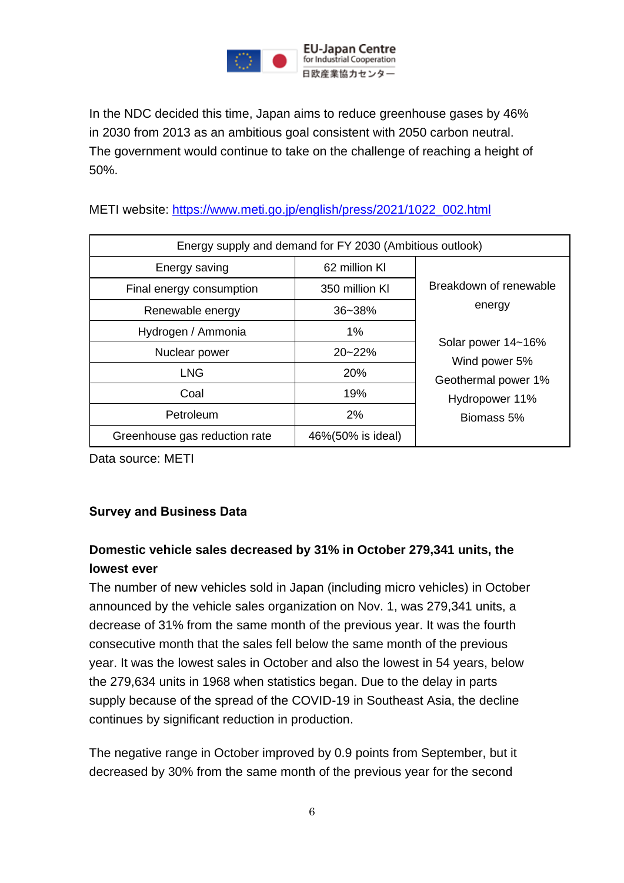

In the NDC decided this time, Japan aims to reduce greenhouse gases by 46% in 2030 from 2013 as an ambitious goal consistent with 2050 carbon neutral. The government would continue to take on the challenge of reaching a height of 50%.

METI website: [https://www.meti.go.jp/english/press/2021/1022\\_002.html](https://www.meti.go.jp/english/press/2021/1022_002.html)

| Energy supply and demand for FY 2030 (Ambitious outlook) |                   |                                     |  |  |  |
|----------------------------------------------------------|-------------------|-------------------------------------|--|--|--|
| Energy saving                                            | 62 million KI     |                                     |  |  |  |
| Final energy consumption                                 | 350 million KI    | Breakdown of renewable              |  |  |  |
| Renewable energy                                         | $36 - 38%$        | energy                              |  |  |  |
| Hydrogen / Ammonia                                       | 1%                |                                     |  |  |  |
| Nuclear power                                            | $20 - 22%$        | Solar power 14~16%<br>Wind power 5% |  |  |  |
| <b>LNG</b>                                               | 20%               | Geothermal power 1%                 |  |  |  |
| Coal                                                     | 19%               | Hydropower 11%                      |  |  |  |
| Petroleum                                                | 2%                | Biomass 5%                          |  |  |  |
| Greenhouse gas reduction rate                            | 46%(50% is ideal) |                                     |  |  |  |

Data source: METI

#### **Survey and Business Data**

## **Domestic vehicle sales decreased by 31% in October 279,341 units, the lowest ever**

The number of new vehicles sold in Japan (including micro vehicles) in October announced by the vehicle sales organization on Nov. 1, was 279,341 units, a decrease of 31% from the same month of the previous year. It was the fourth consecutive month that the sales fell below the same month of the previous year. It was the lowest sales in October and also the lowest in 54 years, below the 279,634 units in 1968 when statistics began. Due to the delay in parts supply because of the spread of the COVID-19 in Southeast Asia, the decline continues by significant reduction in production.

The negative range in October improved by 0.9 points from September, but it decreased by 30% from the same month of the previous year for the second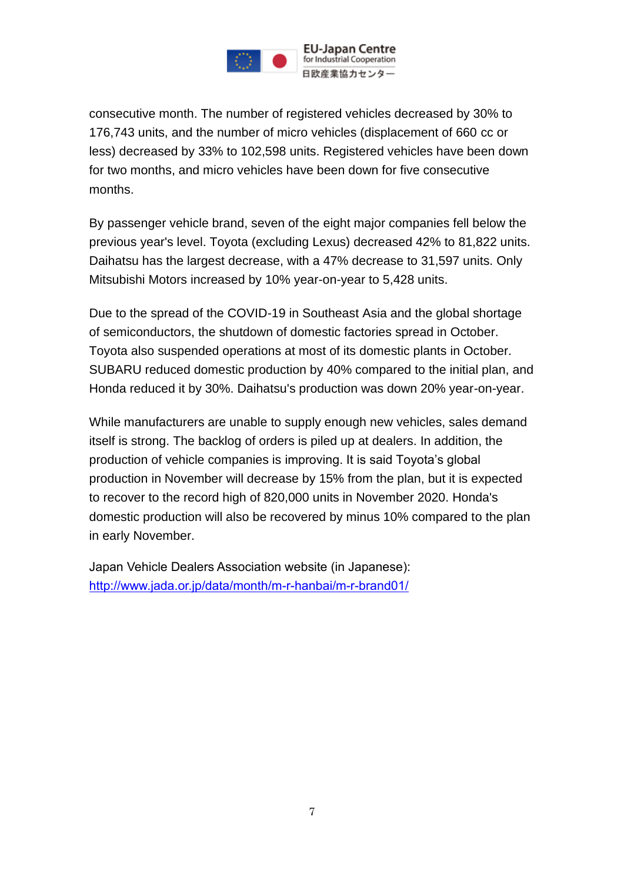

consecutive month. The number of registered vehicles decreased by 30% to 176,743 units, and the number of micro vehicles (displacement of 660 cc or less) decreased by 33% to 102,598 units. Registered vehicles have been down for two months, and micro vehicles have been down for five consecutive months.

By passenger vehicle brand, seven of the eight major companies fell below the previous year's level. Toyota (excluding Lexus) decreased 42% to 81,822 units. Daihatsu has the largest decrease, with a 47% decrease to 31,597 units. Only Mitsubishi Motors increased by 10% year-on-year to 5,428 units.

Due to the spread of the COVID-19 in Southeast Asia and the global shortage of semiconductors, the shutdown of domestic factories spread in October. Toyota also suspended operations at most of its domestic plants in October. SUBARU reduced domestic production by 40% compared to the initial plan, and Honda reduced it by 30%. Daihatsu's production was down 20% year-on-year.

While manufacturers are unable to supply enough new vehicles, sales demand itself is strong. The backlog of orders is piled up at dealers. In addition, the production of vehicle companies is improving. It is said Toyota's global production in November will decrease by 15% from the plan, but it is expected to recover to the record high of 820,000 units in November 2020. Honda's domestic production will also be recovered by minus 10% compared to the plan in early November.

Japan Vehicle Dealers Association website (in Japanese): <http://www.jada.or.jp/data/month/m-r-hanbai/m-r-brand01/>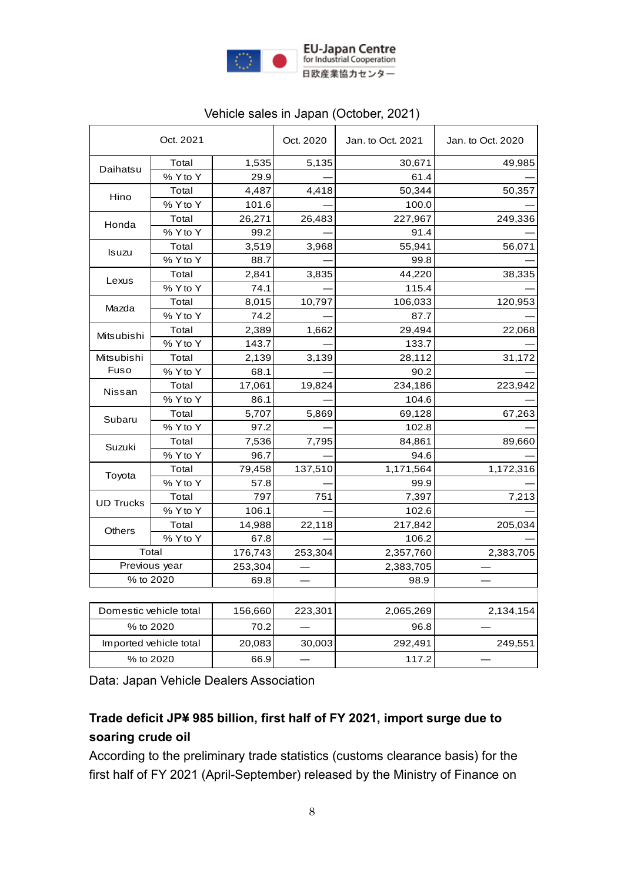

|                        | Oct. 2021              |         | Oct. 2020 | Jan. to Oct. 2021 | Jan. to Oct. 2020 |
|------------------------|------------------------|---------|-----------|-------------------|-------------------|
| Daihatsu               | Total                  | 1,535   | 5,135     | 30,671            | 49,985            |
|                        | % Y to Y               | 29.9    |           | 61.4              |                   |
| Hino                   | Total                  | 4,487   | 4,418     | 50,344            | 50,357            |
|                        | % Y to Y               | 101.6   |           | 100.0             |                   |
| Honda                  | Total                  | 26,271  | 26,483    | 227,967           | 249,336           |
|                        | % Y to Y               | 99.2    |           | 91.4              |                   |
|                        | Total                  | 3,519   | 3,968     | 55,941            | 56,071            |
| <b>Isuzu</b>           | % Y to Y               | 88.7    |           | 99.8              |                   |
|                        | Total                  | 2,841   | 3,835     | 44,220            | 38,335            |
| Lexus                  | % Y to Y               | 74.1    |           | 115.4             |                   |
|                        | Total                  | 8,015   | 10,797    | 106,033           | 120,953           |
| Mazda                  | % Y to Y               | 74.2    |           | 87.7              |                   |
|                        | Total                  | 2,389   | 1,662     | 29,494            | 22,068            |
| Mitsubishi             | % Y to Y               | 143.7   |           | 133.7             |                   |
| Mitsubishi             | Total                  | 2,139   | 3,139     | 28,112            | 31,172            |
| Fuso                   | % Y to Y               | 68.1    |           | 90.2              |                   |
|                        | Total                  | 17,061  | 19,824    | 234,186           | 223,942           |
| Nissan                 | % Y to Y               | 86.1    |           | 104.6             |                   |
|                        | Total                  | 5,707   | 5,869     | 69,128            | 67,263            |
| Subaru                 | % Y to Y               | 97.2    |           | 102.8             |                   |
|                        | Total                  | 7,536   | 7,795     | 84,861            | 89,660            |
| Suzuki                 | % Y to Y               | 96.7    |           | 94.6              |                   |
|                        | Total                  | 79,458  | 137,510   | 1,171,564         | 1,172,316         |
| Toyota                 | % Y to Y               | 57.8    |           | 99.9              |                   |
| <b>UD Trucks</b>       | Total                  | 797     | 751       | 7,397             | 7,213             |
|                        | % Y to Y               | 106.1   |           | 102.6             |                   |
| <b>Others</b>          | Total                  | 14,988  | 22,118    | 217,842           | 205,034           |
|                        | % Y to Y               | 67.8    |           | 106.2             |                   |
|                        | Total                  | 176,743 | 253,304   | 2,357,760         | 2,383,705         |
| Previous year          |                        | 253,304 |           | 2,383,705         |                   |
| % to 2020              |                        | 69.8    |           | 98.9              |                   |
|                        |                        |         |           |                   |                   |
| Domestic vehicle total |                        | 156,660 | 223,301   | 2,065,269         | 2,134,154         |
|                        | % to 2020              | 70.2    |           | 96.8              |                   |
|                        | Imported vehicle total | 20,083  | 30,003    | 292,491           | 249,551           |
| % to 2020              |                        | 66.9    |           | 117.2             |                   |

### Vehicle sales in Japan (October, 2021)

Data: Japan Vehicle Dealers Association

## **Trade deficit JP¥ 985 billion, first half of FY 2021, import surge due to soaring crude oil**

According to the preliminary trade statistics (customs clearance basis) for the first half of FY 2021 (April-September) released by the Ministry of Finance on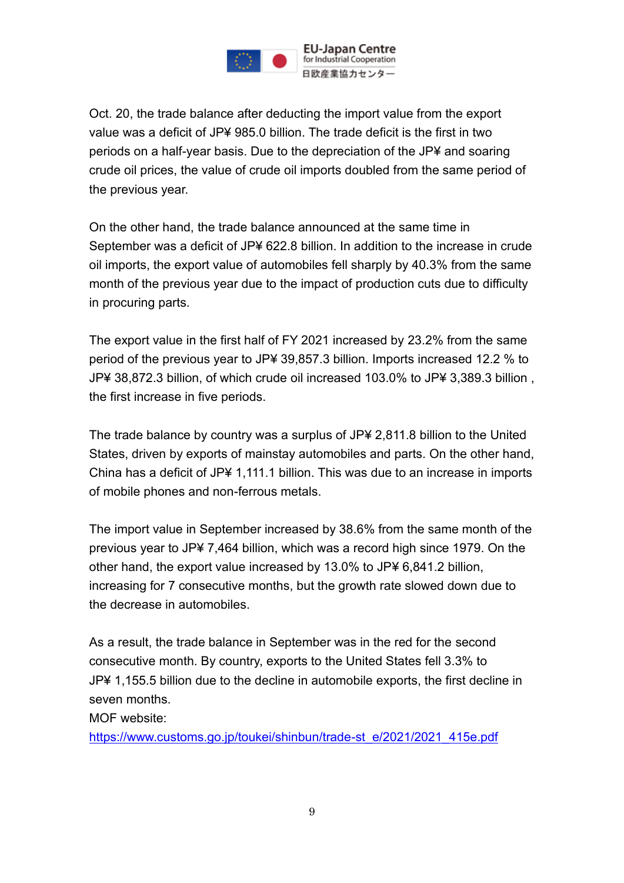

Oct. 20, the trade balance after deducting the import value from the export value was a deficit of JP¥ 985.0 billion. The trade deficit is the first in two periods on a half-year basis. Due to the depreciation of the JP¥ and soaring crude oil prices, the value of crude oil imports doubled from the same period of the previous year.

On the other hand, the trade balance announced at the same time in September was a deficit of JP¥ 622.8 billion. In addition to the increase in crude oil imports, the export value of automobiles fell sharply by 40.3% from the same month of the previous year due to the impact of production cuts due to difficulty in procuring parts.

The export value in the first half of FY 2021 increased by 23.2% from the same period of the previous year to JP¥ 39,857.3 billion. Imports increased 12.2 % to JP¥ 38,872.3 billion, of which crude oil increased 103.0% to JP¥ 3,389.3 billion , the first increase in five periods.

The trade balance by country was a surplus of JP¥ 2,811.8 billion to the United States, driven by exports of mainstay automobiles and parts. On the other hand, China has a deficit of JP¥ 1,111.1 billion. This was due to an increase in imports of mobile phones and non-ferrous metals.

The import value in September increased by 38.6% from the same month of the previous year to JP¥ 7,464 billion, which was a record high since 1979. On the other hand, the export value increased by 13.0% to JP¥ 6,841.2 billion, increasing for 7 consecutive months, but the growth rate slowed down due to the decrease in automobiles.

As a result, the trade balance in September was in the red for the second consecutive month. By country, exports to the United States fell 3.3% to JP¥ 1,155.5 billion due to the decline in automobile exports, the first decline in seven months.

MOF website:

[https://www.customs.go.jp/toukei/shinbun/trade-st\\_e/2021/2021\\_415e.pdf](https://www.customs.go.jp/toukei/shinbun/trade-st_e/2021/2021_415e.pdf)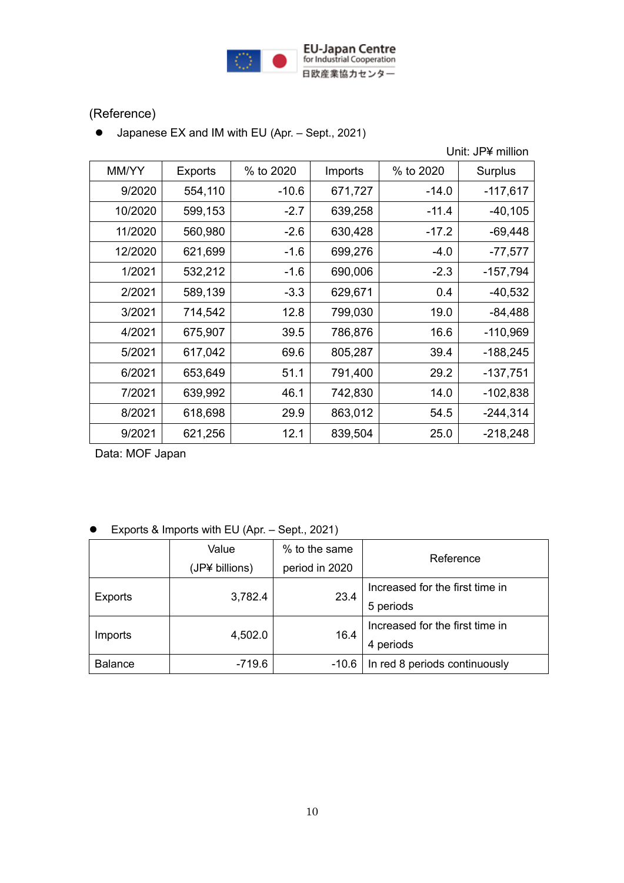

## (Reference)

● Japanese EX and IM with EU (Apr. – Sept., 2021)

Unit: JP¥ million

| MM/YY   | <b>Exports</b> | % to 2020 | Imports | % to 2020 | Surplus    |
|---------|----------------|-----------|---------|-----------|------------|
| 9/2020  | 554,110        | $-10.6$   | 671,727 | $-14.0$   | $-117,617$ |
| 10/2020 | 599,153        | $-2.7$    | 639,258 | $-11.4$   | $-40,105$  |
| 11/2020 | 560,980        | $-2.6$    | 630,428 | $-17.2$   | $-69,448$  |
| 12/2020 | 621,699        | $-1.6$    | 699,276 | $-4.0$    | $-77,577$  |
| 1/2021  | 532,212        | $-1.6$    | 690,006 | $-2.3$    | $-157,794$ |
| 2/2021  | 589,139        | $-3.3$    | 629,671 | 0.4       | $-40,532$  |
| 3/2021  | 714,542        | 12.8      | 799,030 | 19.0      | $-84,488$  |
| 4/2021  | 675,907        | 39.5      | 786,876 | 16.6      | $-110,969$ |
| 5/2021  | 617,042        | 69.6      | 805,287 | 39.4      | $-188,245$ |
| 6/2021  | 653,649        | 51.1      | 791,400 | 29.2      | $-137,751$ |
| 7/2021  | 639,992        | 46.1      | 742,830 | 14.0      | $-102,838$ |
| 8/2021  | 618,698        | 29.9      | 863,012 | 54.5      | $-244,314$ |
| 9/2021  | 621,256        | 12.1      | 839,504 | 25.0      | $-218,248$ |

Data: MOF Japan

|  | Exports & Imports with EU (Apr. – Sept., 2021) |  |  |  |  |  |
|--|------------------------------------------------|--|--|--|--|--|
|--|------------------------------------------------|--|--|--|--|--|

|                | Value          | % to the same  | Reference                       |  |
|----------------|----------------|----------------|---------------------------------|--|
|                | (JP¥ billions) | period in 2020 |                                 |  |
| Exports        | 3,782.4        | 23.4           | Increased for the first time in |  |
|                |                |                | 5 periods                       |  |
| Imports        | 4,502.0        | 16.4           | Increased for the first time in |  |
|                |                |                | 4 periods                       |  |
| <b>Balance</b> | -719.6         | $-10.6$        | In red 8 periods continuously   |  |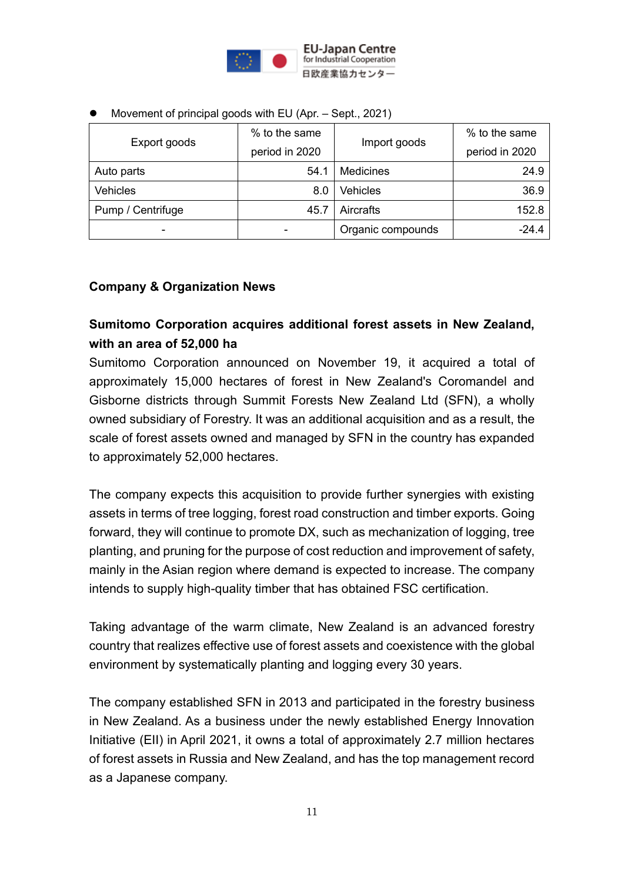

| Export goods             | % to the same  |                   | % to the same  |
|--------------------------|----------------|-------------------|----------------|
|                          | period in 2020 | Import goods      | period in 2020 |
| Auto parts               | 54.1           | <b>Medicines</b>  | 24.9           |
| <b>Vehicles</b>          | 8.0            | <b>Vehicles</b>   | 36.9           |
| Pump / Centrifuge        | 45.7           | Aircrafts         | 152.8          |
| $\overline{\phantom{0}}$ |                | Organic compounds | -24.4          |

⚫ Movement of principal goods with EU (Apr. – Sept., 2021)

#### **Company & Organization News**

## **Sumitomo Corporation acquires additional forest assets in New Zealand, with an area of 52,000 ha**

Sumitomo Corporation announced on November 19, it acquired a total of approximately 15,000 hectares of forest in New Zealand's Coromandel and Gisborne districts through Summit Forests New Zealand Ltd (SFN), a wholly owned subsidiary of Forestry. It was an additional acquisition and as a result, the scale of forest assets owned and managed by SFN in the country has expanded to approximately 52,000 hectares.

The company expects this acquisition to provide further synergies with existing assets in terms of tree logging, forest road construction and timber exports. Going forward, they will continue to promote DX, such as mechanization of logging, tree planting, and pruning for the purpose of cost reduction and improvement of safety, mainly in the Asian region where demand is expected to increase. The company intends to supply high-quality timber that has obtained FSC certification.

Taking advantage of the warm climate, New Zealand is an advanced forestry country that realizes effective use of forest assets and coexistence with the global environment by systematically planting and logging every 30 years.

The company established SFN in 2013 and participated in the forestry business in New Zealand. As a business under the newly established Energy Innovation Initiative (EII) in April 2021, it owns a total of approximately 2.7 million hectares of forest assets in Russia and New Zealand, and has the top management record as a Japanese company.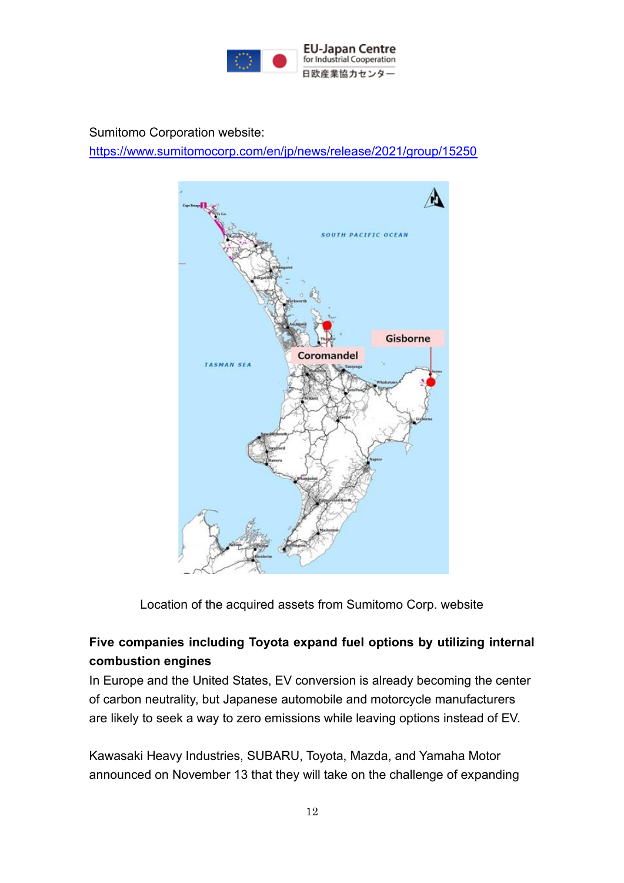

Sumitomo Corporation website:

<https://www.sumitomocorp.com/en/jp/news/release/2021/group/15250>



Location of the acquired assets from Sumitomo Corp. website

## **Five companies including Toyota expand fuel options by utilizing internal combustion engines**

In Europe and the United States, EV conversion is already becoming the center of carbon neutrality, but Japanese automobile and motorcycle manufacturers are likely to seek a way to zero emissions while leaving options instead of EV.

Kawasaki Heavy Industries, SUBARU, Toyota, Mazda, and Yamaha Motor announced on November 13 that they will take on the challenge of expanding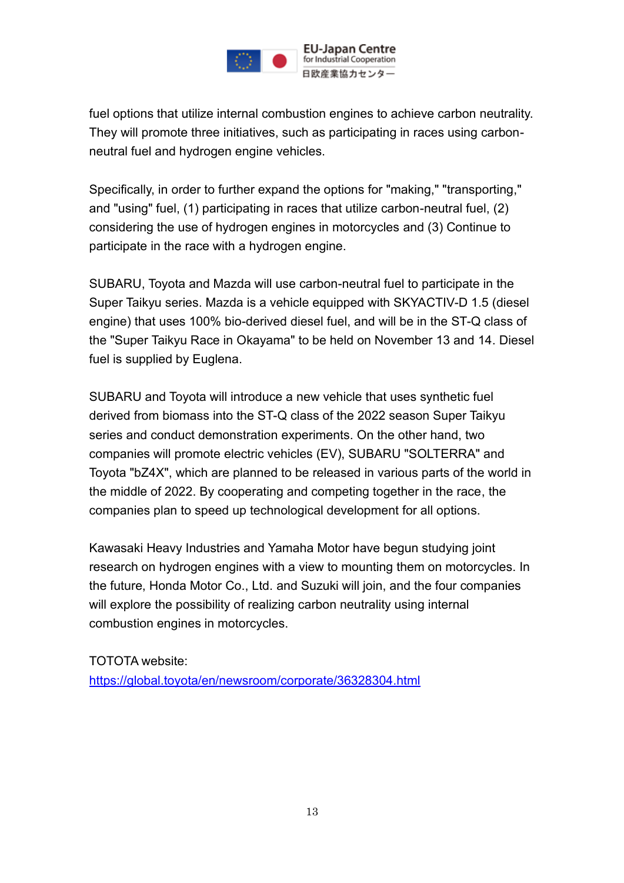

fuel options that utilize internal combustion engines to achieve carbon neutrality. They will promote three initiatives, such as participating in races using carbonneutral fuel and hydrogen engine vehicles.

Specifically, in order to further expand the options for "making," "transporting," and "using" fuel, (1) participating in races that utilize carbon-neutral fuel, (2) considering the use of hydrogen engines in motorcycles and (3) Continue to participate in the race with a hydrogen engine.

SUBARU, Toyota and Mazda will use carbon-neutral fuel to participate in the Super Taikyu series. Mazda is a vehicle equipped with SKYACTIV-D 1.5 (diesel engine) that uses 100% bio-derived diesel fuel, and will be in the ST-Q class of the "Super Taikyu Race in Okayama" to be held on November 13 and 14. Diesel fuel is supplied by Euglena.

SUBARU and Toyota will introduce a new vehicle that uses synthetic fuel derived from biomass into the ST-Q class of the 2022 season Super Taikyu series and conduct demonstration experiments. On the other hand, two companies will promote electric vehicles (EV), SUBARU "SOLTERRA" and Toyota "bZ4X", which are planned to be released in various parts of the world in the middle of 2022. By cooperating and competing together in the race, the companies plan to speed up technological development for all options.

Kawasaki Heavy Industries and Yamaha Motor have begun studying joint research on hydrogen engines with a view to mounting them on motorcycles. In the future, Honda Motor Co., Ltd. and Suzuki will join, and the four companies will explore the possibility of realizing carbon neutrality using internal combustion engines in motorcycles.

TOTOTA website: <https://global.toyota/en/newsroom/corporate/36328304.html>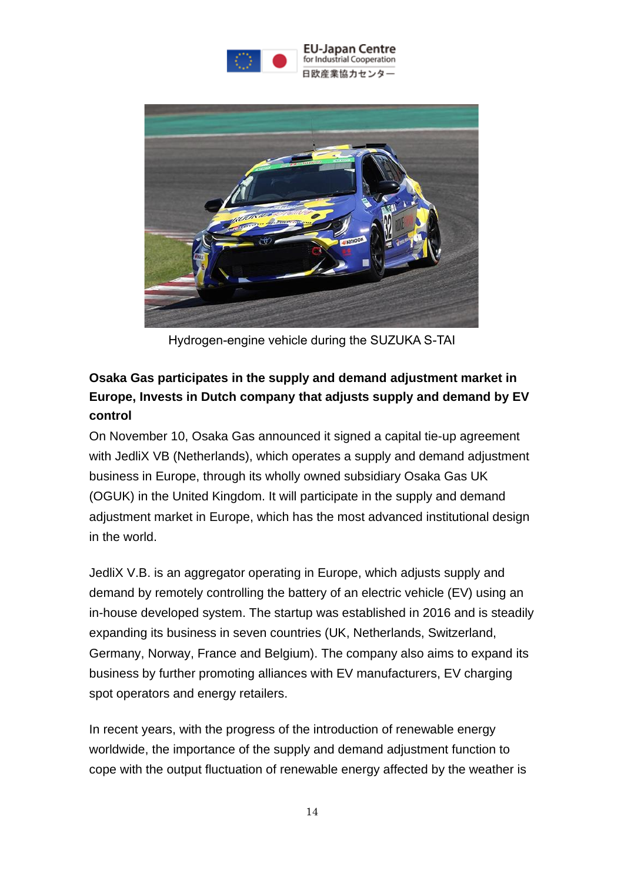



Hydrogen-engine vehicle during the SUZUKA S-TAI

# **Osaka Gas participates in the supply and demand adjustment market in Europe, Invests in Dutch company that adjusts supply and demand by EV control**

On November 10, Osaka Gas announced it signed a capital tie-up agreement with JedliX VB (Netherlands), which operates a supply and demand adjustment business in Europe, through its wholly owned subsidiary Osaka Gas UK (OGUK) in the United Kingdom. It will participate in the supply and demand adjustment market in Europe, which has the most advanced institutional design in the world.

JedliX V.B. is an aggregator operating in Europe, which adjusts supply and demand by remotely controlling the battery of an electric vehicle (EV) using an in-house developed system. The startup was established in 2016 and is steadily expanding its business in seven countries (UK, Netherlands, Switzerland, Germany, Norway, France and Belgium). The company also aims to expand its business by further promoting alliances with EV manufacturers, EV charging spot operators and energy retailers.

In recent years, with the progress of the introduction of renewable energy worldwide, the importance of the supply and demand adjustment function to cope with the output fluctuation of renewable energy affected by the weather is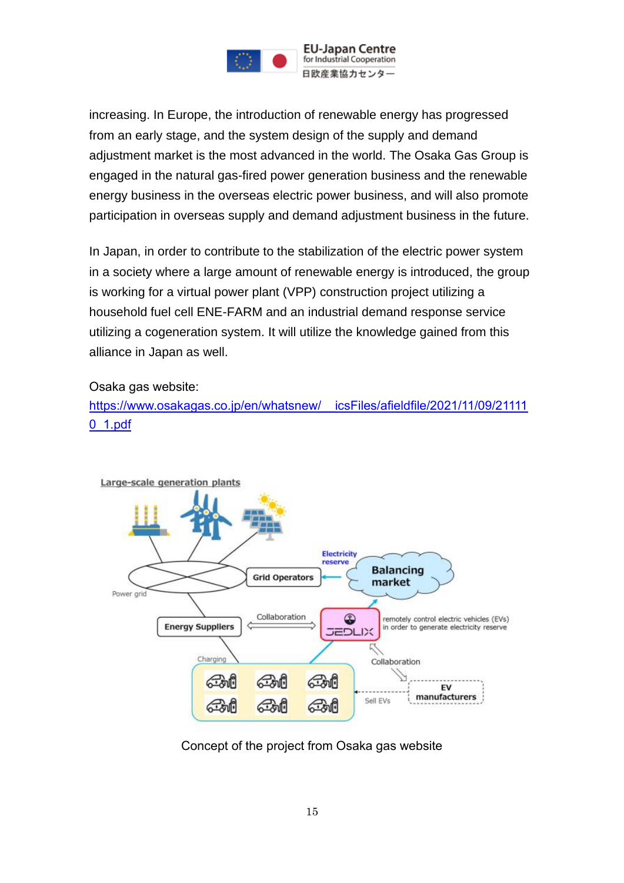

increasing. In Europe, the introduction of renewable energy has progressed from an early stage, and the system design of the supply and demand adjustment market is the most advanced in the world. The Osaka Gas Group is engaged in the natural gas-fired power generation business and the renewable energy business in the overseas electric power business, and will also promote participation in overseas supply and demand adjustment business in the future.

In Japan, in order to contribute to the stabilization of the electric power system in a society where a large amount of renewable energy is introduced, the group is working for a virtual power plant (VPP) construction project utilizing a household fuel cell ENE-FARM and an industrial demand response service utilizing a cogeneration system. It will utilize the knowledge gained from this alliance in Japan as well.

Osaka gas website:

[https://www.osakagas.co.jp/en/whatsnew/\\_\\_icsFiles/afieldfile/2021/11/09/21111](https://www.osakagas.co.jp/en/whatsnew/__icsFiles/afieldfile/2021/11/09/211110_1.pdf) [0\\_1.pdf](https://www.osakagas.co.jp/en/whatsnew/__icsFiles/afieldfile/2021/11/09/211110_1.pdf)



Large-scale generation plants

Concept of the project from Osaka gas website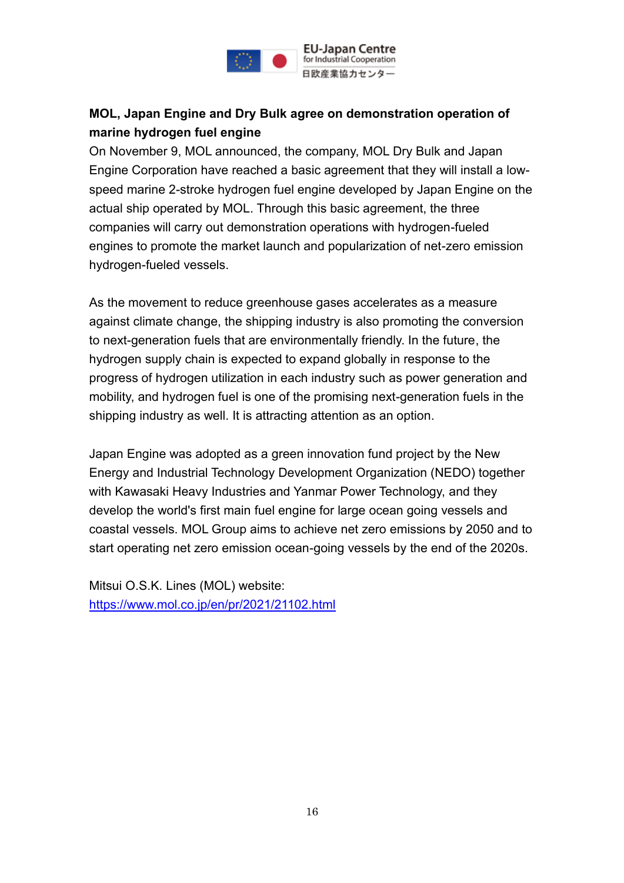

## **MOL, Japan Engine and Dry Bulk agree on demonstration operation of marine hydrogen fuel engine**

On November 9, MOL announced, the company, MOL Dry Bulk and Japan Engine Corporation have reached a basic agreement that they will install a lowspeed marine 2-stroke hydrogen fuel engine developed by Japan Engine on the actual ship operated by MOL. Through this basic agreement, the three companies will carry out demonstration operations with hydrogen-fueled engines to promote the market launch and popularization of net-zero emission hydrogen-fueled vessels.

As the movement to reduce greenhouse gases accelerates as a measure against climate change, the shipping industry is also promoting the conversion to next-generation fuels that are environmentally friendly. In the future, the hydrogen supply chain is expected to expand globally in response to the progress of hydrogen utilization in each industry such as power generation and mobility, and hydrogen fuel is one of the promising next-generation fuels in the shipping industry as well. It is attracting attention as an option.

Japan Engine was adopted as a green innovation fund project by the New Energy and Industrial Technology Development Organization (NEDO) together with Kawasaki Heavy Industries and Yanmar Power Technology, and they develop the world's first main fuel engine for large ocean going vessels and coastal vessels. MOL Group aims to achieve net zero emissions by 2050 and to start operating net zero emission ocean-going vessels by the end of the 2020s.

Mitsui O.S.K. Lines (MOL) website: <https://www.mol.co.jp/en/pr/2021/21102.html>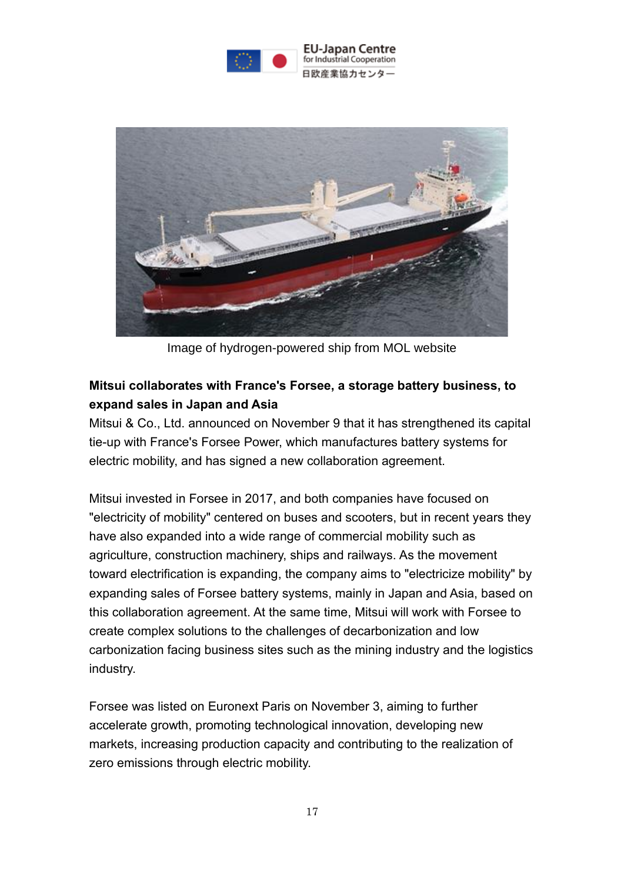



Image of hydrogen-powered ship from MOL website

### **Mitsui collaborates with France's Forsee, a storage battery business, to expand sales in Japan and Asia**

Mitsui & Co., Ltd. announced on November 9 that it has strengthened its capital tie-up with France's Forsee Power, which manufactures battery systems for electric mobility, and has signed a new collaboration agreement.

Mitsui invested in Forsee in 2017, and both companies have focused on "electricity of mobility" centered on buses and scooters, but in recent years they have also expanded into a wide range of commercial mobility such as agriculture, construction machinery, ships and railways. As the movement toward electrification is expanding, the company aims to "electricize mobility" by expanding sales of Forsee battery systems, mainly in Japan and Asia, based on this collaboration agreement. At the same time, Mitsui will work with Forsee to create complex solutions to the challenges of decarbonization and low carbonization facing business sites such as the mining industry and the logistics industry.

Forsee was listed on Euronext Paris on November 3, aiming to further accelerate growth, promoting technological innovation, developing new markets, increasing production capacity and contributing to the realization of zero emissions through electric mobility.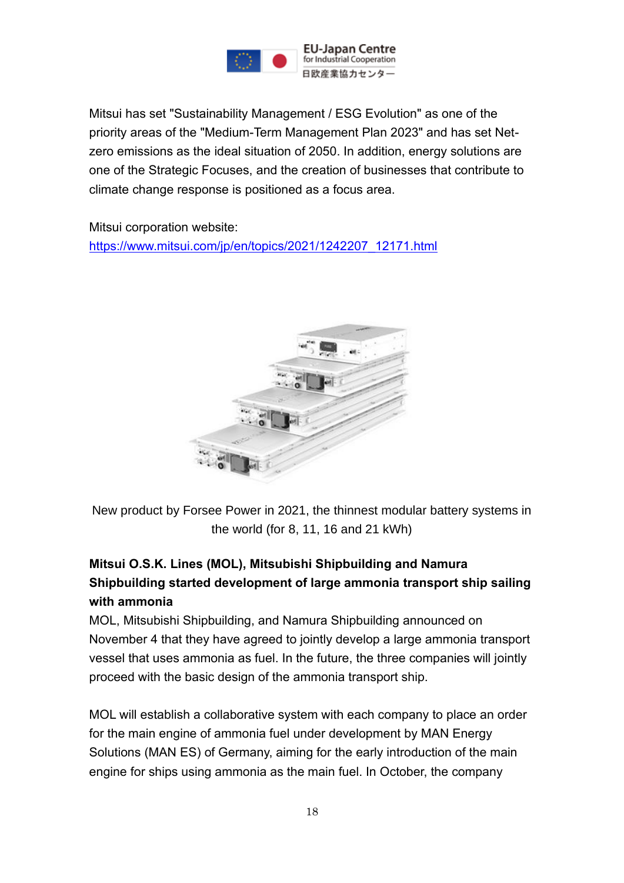

Mitsui has set "Sustainability Management / ESG Evolution" as one of the priority areas of the "Medium-Term Management Plan 2023" and has set Netzero emissions as the ideal situation of 2050. In addition, energy solutions are one of the Strategic Focuses, and the creation of businesses that contribute to climate change response is positioned as a focus area.

Mitsui corporation website: [https://www.mitsui.com/jp/en/topics/2021/1242207\\_12171.html](https://www.mitsui.com/jp/en/topics/2021/1242207_12171.html)



New product by Forsee Power in 2021, the thinnest modular battery systems in the world (for 8, 11, 16 and 21 kWh)

## **Mitsui O.S.K. Lines (MOL), Mitsubishi Shipbuilding and Namura Shipbuilding started development of large ammonia transport ship sailing with ammonia**

MOL, Mitsubishi Shipbuilding, and Namura Shipbuilding announced on November 4 that they have agreed to jointly develop a large ammonia transport vessel that uses ammonia as fuel. In the future, the three companies will jointly proceed with the basic design of the ammonia transport ship.

MOL will establish a collaborative system with each company to place an order for the main engine of ammonia fuel under development by MAN Energy Solutions (MAN ES) of Germany, aiming for the early introduction of the main engine for ships using ammonia as the main fuel. In October, the company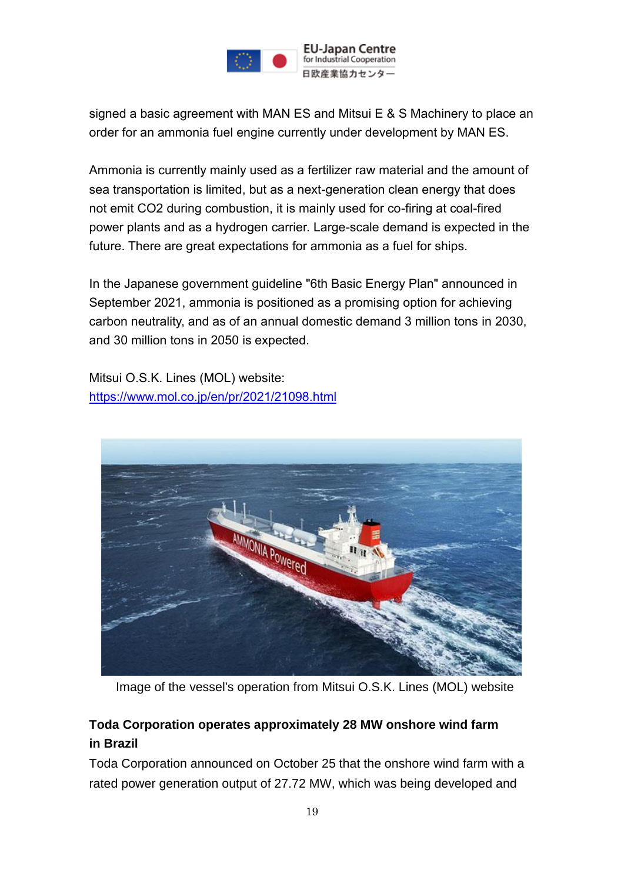

signed a basic agreement with MAN ES and Mitsui E & S Machinery to place an order for an ammonia fuel engine currently under development by MAN ES.

Ammonia is currently mainly used as a fertilizer raw material and the amount of sea transportation is limited, but as a next-generation clean energy that does not emit CO2 during combustion, it is mainly used for co-firing at coal-fired power plants and as a hydrogen carrier. Large-scale demand is expected in the future. There are great expectations for ammonia as a fuel for ships.

In the Japanese government guideline "6th Basic Energy Plan" announced in September 2021, ammonia is positioned as a promising option for achieving carbon neutrality, and as of an annual domestic demand 3 million tons in 2030, and 30 million tons in 2050 is expected.

Mitsui O.S.K. Lines (MOL) website: <https://www.mol.co.jp/en/pr/2021/21098.html>



Image of the vessel's operation from Mitsui O.S.K. Lines (MOL) website

## **Toda Corporation operates approximately 28 MW onshore wind farm in Brazil**

Toda Corporation announced on October 25 that the onshore wind farm with a rated power generation output of 27.72 MW, which was being developed and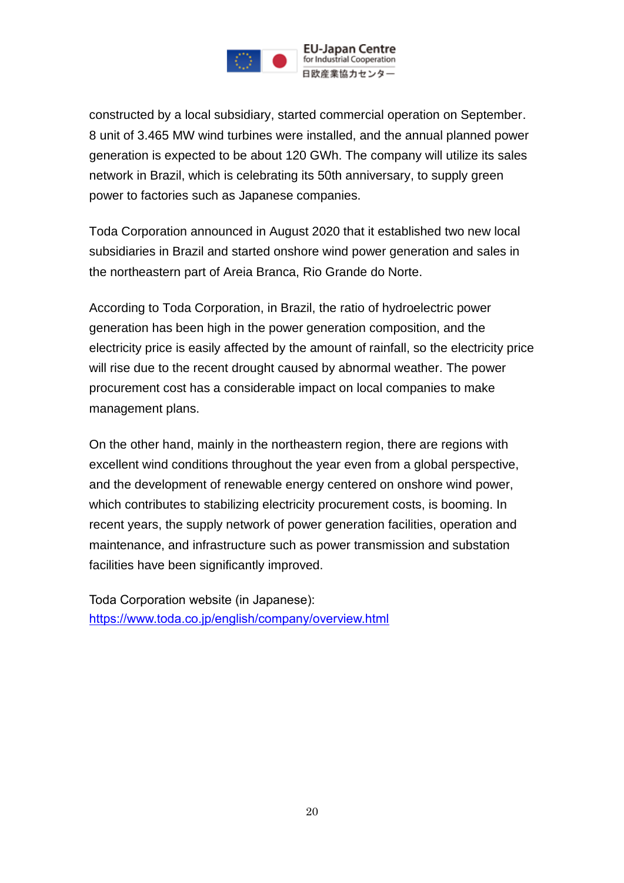

constructed by a local subsidiary, started commercial operation on September. 8 unit of 3.465 MW wind turbines were installed, and the annual planned power generation is expected to be about 120 GWh. The company will utilize its sales network in Brazil, which is celebrating its 50th anniversary, to supply green power to factories such as Japanese companies.

Toda Corporation announced in August 2020 that it established two new local subsidiaries in Brazil and started onshore wind power generation and sales in the northeastern part of Areia Branca, Rio Grande do Norte.

According to Toda Corporation, in Brazil, the ratio of hydroelectric power generation has been high in the power generation composition, and the electricity price is easily affected by the amount of rainfall, so the electricity price will rise due to the recent drought caused by abnormal weather. The power procurement cost has a considerable impact on local companies to make management plans.

On the other hand, mainly in the northeastern region, there are regions with excellent wind conditions throughout the year even from a global perspective, and the development of renewable energy centered on onshore wind power, which contributes to stabilizing electricity procurement costs, is booming. In recent years, the supply network of power generation facilities, operation and maintenance, and infrastructure such as power transmission and substation facilities have been significantly improved.

Toda Corporation website (in Japanese): <https://www.toda.co.jp/english/company/overview.html>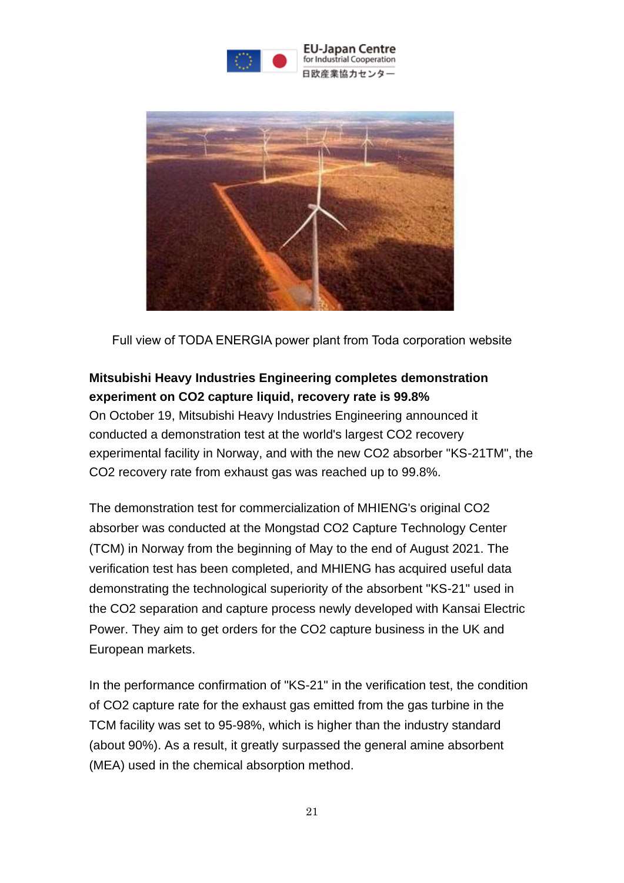



Full view of TODA ENERGIA power plant from Toda corporation website

## **Mitsubishi Heavy Industries Engineering completes demonstration experiment on CO2 capture liquid, recovery rate is 99.8%**

On October 19, Mitsubishi Heavy Industries Engineering announced it conducted a demonstration test at the world's largest CO2 recovery experimental facility in Norway, and with the new CO2 absorber "KS-21TM", the CO2 recovery rate from exhaust gas was reached up to 99.8%.

The demonstration test for commercialization of MHIENG's original CO2 absorber was conducted at the Mongstad CO2 Capture Technology Center (TCM) in Norway from the beginning of May to the end of August 2021. The verification test has been completed, and MHIENG has acquired useful data demonstrating the technological superiority of the absorbent "KS-21" used in the CO2 separation and capture process newly developed with Kansai Electric Power. They aim to get orders for the CO2 capture business in the UK and European markets.

In the performance confirmation of "KS-21" in the verification test, the condition of CO2 capture rate for the exhaust gas emitted from the gas turbine in the TCM facility was set to 95-98%, which is higher than the industry standard (about 90%). As a result, it greatly surpassed the general amine absorbent (MEA) used in the chemical absorption method.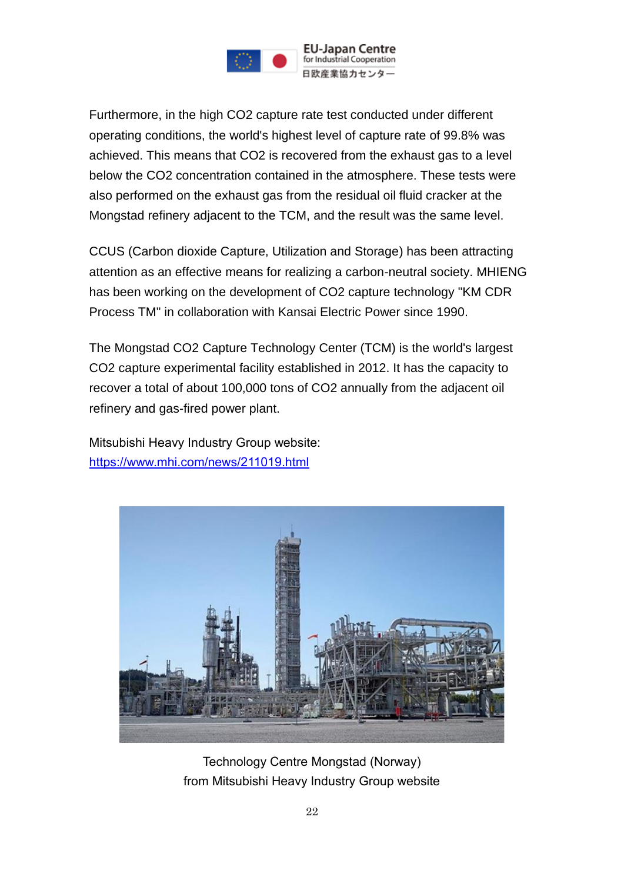

Furthermore, in the high CO2 capture rate test conducted under different operating conditions, the world's highest level of capture rate of 99.8% was achieved. This means that CO2 is recovered from the exhaust gas to a level below the CO2 concentration contained in the atmosphere. These tests were also performed on the exhaust gas from the residual oil fluid cracker at the Mongstad refinery adjacent to the TCM, and the result was the same level.

CCUS (Carbon dioxide Capture, Utilization and Storage) has been attracting attention as an effective means for realizing a carbon-neutral society. MHIENG has been working on the development of CO2 capture technology "KM CDR Process TM" in collaboration with Kansai Electric Power since 1990.

The Mongstad CO2 Capture Technology Center (TCM) is the world's largest CO2 capture experimental facility established in 2012. It has the capacity to recover a total of about 100,000 tons of CO2 annually from the adjacent oil refinery and gas-fired power plant.

Mitsubishi Heavy Industry Group website: <https://www.mhi.com/news/211019.html>



Technology Centre Mongstad (Norway) from Mitsubishi Heavy Industry Group website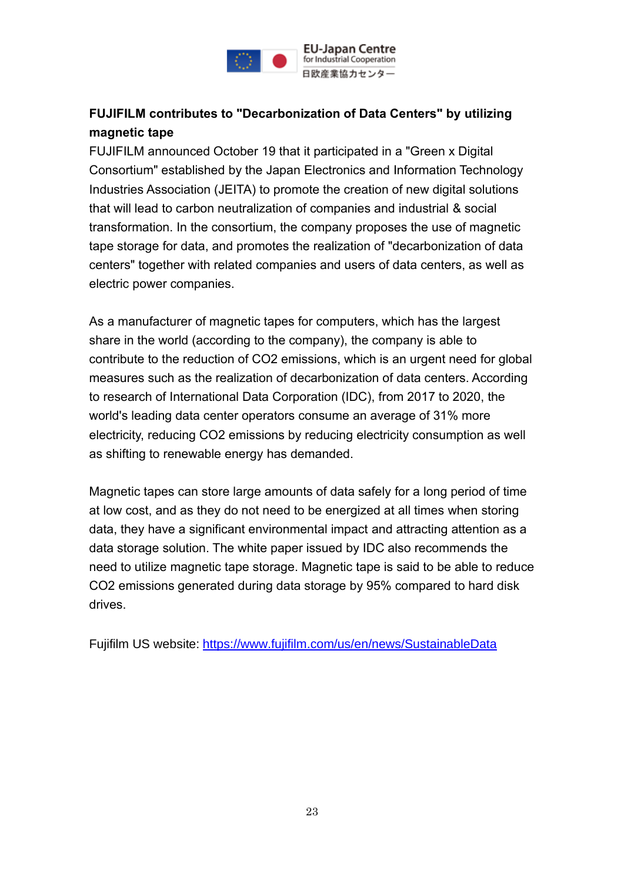

## **FUJIFILM contributes to "Decarbonization of Data Centers" by utilizing magnetic tape**

FUJIFILM announced October 19 that it participated in a "Green x Digital Consortium" established by the Japan Electronics and Information Technology Industries Association (JEITA) to promote the creation of new digital solutions that will lead to carbon neutralization of companies and industrial & social transformation. In the consortium, the company proposes the use of magnetic tape storage for data, and promotes the realization of "decarbonization of data centers" together with related companies and users of data centers, as well as electric power companies.

As a manufacturer of magnetic tapes for computers, which has the largest share in the world (according to the company), the company is able to contribute to the reduction of CO2 emissions, which is an urgent need for global measures such as the realization of decarbonization of data centers. According to research of International Data Corporation (IDC), from 2017 to 2020, the world's leading data center operators consume an average of 31% more electricity, reducing CO2 emissions by reducing electricity consumption as well as shifting to renewable energy has demanded.

Magnetic tapes can store large amounts of data safely for a long period of time at low cost, and as they do not need to be energized at all times when storing data, they have a significant environmental impact and attracting attention as a data storage solution. The white paper issued by IDC also recommends the need to utilize magnetic tape storage. Magnetic tape is said to be able to reduce CO2 emissions generated during data storage by 95% compared to hard disk drives.

Fujifilm US website: <https://www.fujifilm.com/us/en/news/SustainableData>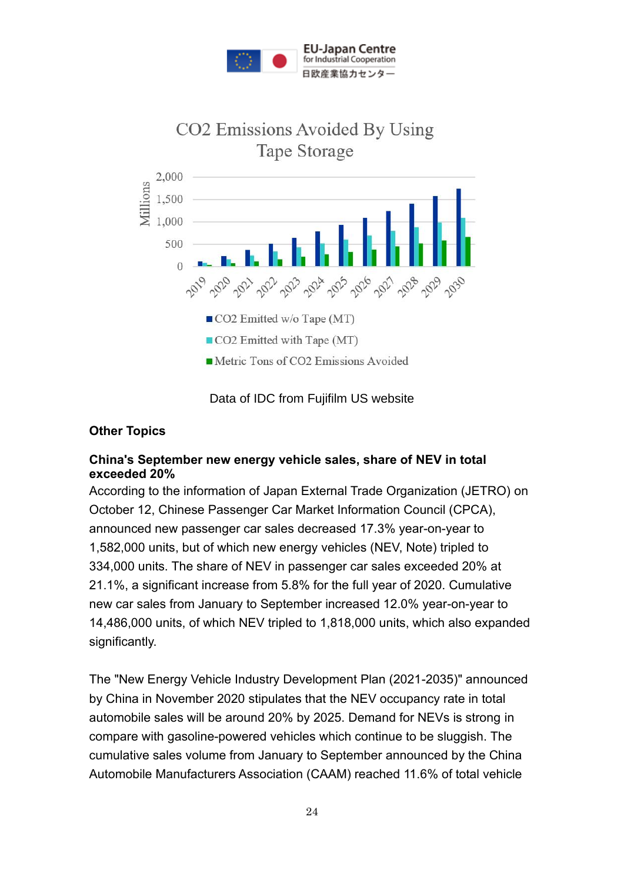



Data of IDC from Fujifilm US website

### **Other Topics**

#### **China's September new energy vehicle sales, share of NEV in total exceeded 20%**

According to the information of Japan External Trade Organization (JETRO) on October 12, Chinese Passenger Car Market Information Council (CPCA), announced new passenger car sales decreased 17.3% year-on-year to 1,582,000 units, but of which new energy vehicles (NEV, Note) tripled to 334,000 units. The share of NEV in passenger car sales exceeded 20% at 21.1%, a significant increase from 5.8% for the full year of 2020. Cumulative new car sales from January to September increased 12.0% year-on-year to 14,486,000 units, of which NEV tripled to 1,818,000 units, which also expanded significantly.

The "New Energy Vehicle Industry Development Plan (2021-2035)" announced by China in November 2020 stipulates that the NEV occupancy rate in total automobile sales will be around 20% by 2025. Demand for NEVs is strong in compare with gasoline-powered vehicles which continue to be sluggish. The cumulative sales volume from January to September announced by the China Automobile Manufacturers Association (CAAM) reached 11.6% of total vehicle